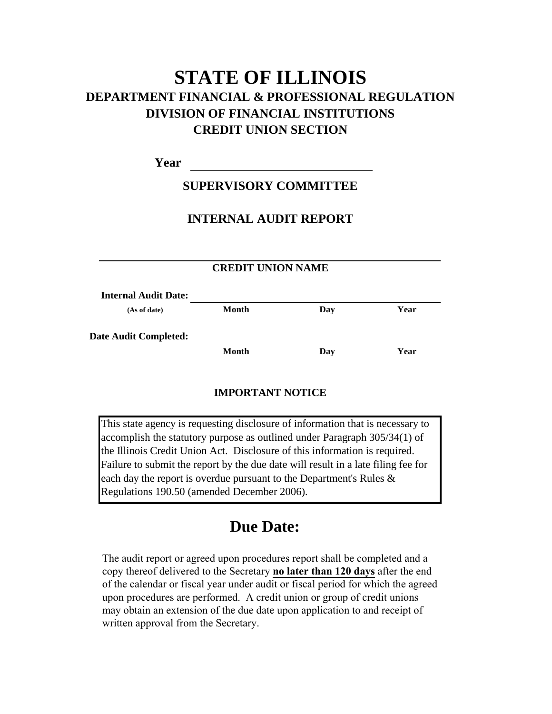# **STATE OF ILLINOIS DEPARTMENT FINANCIAL & PROFESSIONAL REGULATION CREDIT UNION SECTION DIVISION OF FINANCIAL INSTITUTIONS**

**Year**

## **SUPERVISORY COMMITTEE**

## **INTERNAL AUDIT REPORT**

| <b>CREDIT UNION NAME</b>    |              |     |      |
|-----------------------------|--------------|-----|------|
| <b>Internal Audit Date:</b> |              |     |      |
| (As of date)                | Month        | Day | Year |
| Date Audit Completed:       |              |     |      |
|                             | <b>Month</b> | Day | Year |

## **IMPORTANT NOTICE**

This state agency is requesting disclosure of information that is necessary to accomplish the statutory purpose as outlined under Paragraph 305/34(1) of the Illinois Credit Union Act. Disclosure of this information is required. Failure to submit the report by the due date will result in a late filing fee for each day the report is overdue pursuant to the Department's Rules & Regulations 190.50 (amended December 2006).

# **Due Date:**

The audit report or agreed upon procedures report shall be completed and a copy thereof delivered to the Secretary **no later than 120 days** after the end of the calendar or fiscal year under audit or fiscal period for which the agreed upon procedures are performed. A credit union or group of credit unions may obtain an extension of the due date upon application to and receipt of written approval from the Secretary.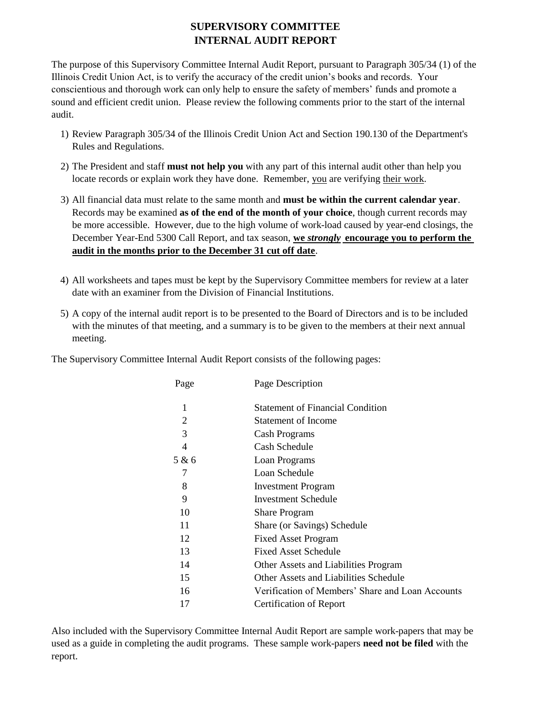## **SUPERVISORY COMMITTEE INTERNAL AUDIT REPORT**

The purpose of this Supervisory Committee Internal Audit Report, pursuant to Paragraph 305/34 (1) of the Illinois Credit Union Act, is to verify the accuracy of the credit union's books and records. Your conscientious and thorough work can only help to ensure the safety of members' funds and promote a sound and efficient credit union. Please review the following comments prior to the start of the internal audit.

- 1) Review Paragraph 305/34 of the Illinois Credit Union Act and Section 190.130 of the Department's Rules and Regulations.
- 2) The President and staff **must not help you** with any part of this internal audit other than help you locate records or explain work they have done. Remember, you are verifying their work.
- All financial data must relate to the same month and **must be within the current calendar year**. 3) Records may be examined **as of the end of the month of your choice**, though current records may be more accessible. However, due to the high volume of work-load caused by year-end closings, the December Year-End 5300 Call Report, and tax season, **we** *strongly* **encourage you to perform the audit in the months prior to the December 31 cut off date**.
- All worksheets and tapes must be kept by the Supervisory Committee members for review at a later 4)date with an examiner from the Division of Financial Institutions.
- 5) A copy of the internal audit report is to be presented to the Board of Directors and is to be included with the minutes of that meeting, and a summary is to be given to the members at their next annual meeting.

The Supervisory Committee Internal Audit Report consists of the following pages:

| Page  | Page Description                                 |
|-------|--------------------------------------------------|
| 1     | <b>Statement of Financial Condition</b>          |
| 2     | <b>Statement of Income</b>                       |
| 3     | Cash Programs                                    |
| 4     | Cash Schedule                                    |
| 5 & 6 | Loan Programs                                    |
| 7     | Loan Schedule                                    |
| 8     | <b>Investment Program</b>                        |
| 9     | Investment Schedule                              |
| 10    | <b>Share Program</b>                             |
| 11    | Share (or Savings) Schedule                      |
| 12    | <b>Fixed Asset Program</b>                       |
| 13    | <b>Fixed Asset Schedule</b>                      |
| 14    | Other Assets and Liabilities Program             |
| 15    | Other Assets and Liabilities Schedule            |
| 16    | Verification of Members' Share and Loan Accounts |
| 17    | <b>Certification of Report</b>                   |

Also included with the Supervisory Committee Internal Audit Report are sample work-papers that may be used as a guide in completing the audit programs. These sample work-papers **need not be filed** with the report.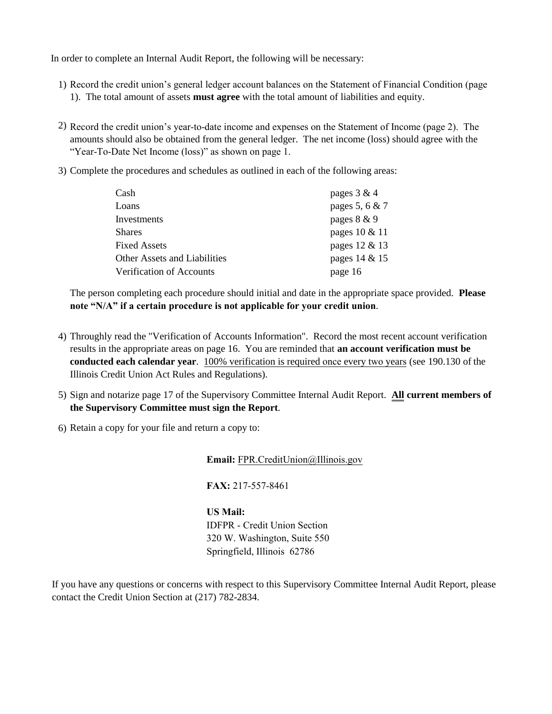In order to complete an Internal Audit Report, the following will be necessary:

- 1) Record the credit union's general ledger account balances on the Statement of Financial Condition (page 1). The total amount of assets **must agree** with the total amount of liabilities and equity.
- 2) Record the credit union's year-to-date income and expenses on the Statement of Income (page 2). The amounts should also be obtained from the general ledger. The net income (loss) should agree with the "Year-To-Date Net Income (loss)" as shown on page 1.
- 3) Complete the procedures and schedules as outlined in each of the following areas:

| Cash                         | pages $3 & 4$  |
|------------------------------|----------------|
| Loans                        | pages 5, 6 & 7 |
| Investments                  | pages 8 & 9    |
| <b>Shares</b>                | pages 10 & 11  |
| <b>Fixed Assets</b>          | pages 12 & 13  |
| Other Assets and Liabilities | pages 14 & 15  |
| Verification of Accounts     | page 16        |

The person completing each procedure should initial and date in the appropriate space provided. **Please note "N/A" if a certain procedure is not applicable for your credit union**.

- 4) Throughly read the "Verification of Accounts Information". Record the most recent account verification results in the appropriate areas on page 16. You are reminded that **an account verification must be conducted each calendar year**. 100% verification is required once every two years (see 190.130 of the Illinois Credit Union Act Rules and Regulations).
- 5) Sign and notarize page 17 of the Supervisory Committee Internal Audit Report. **All current members of the Supervisory Committee must sign the Report**.
- 6) Retain a copy for your file and return a copy to:

**Email:** FPR.CreditUnion@Illinois.gov

**FAX:** 217-557-8461

#### **US Mail:**

IDFPR - Credit Union Section 320 W. Washington, Suite 550 Springfield, Illinois 62786

If you have any questions or concerns with respect to this Supervisory Committee Internal Audit Report, please contact the Credit Union Section at (217) 782-2834.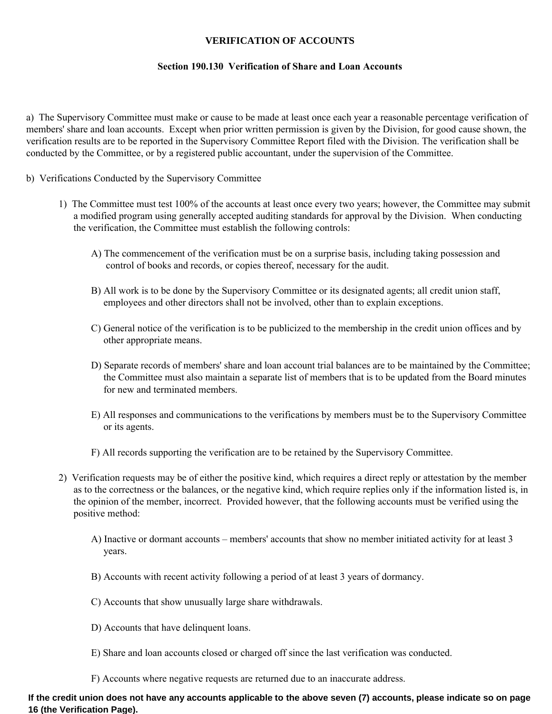#### **VERIFICATION OF ACCOUNTS**

#### **Section 190.130 Verification of Share and Loan Accounts**

a) The Supervisory Committee must make or cause to be made at least once each year a reasonable percentage verification of members' share and loan accounts. Except when prior written permission is given by the Division, for good cause shown, the verification results are to be reported in the Supervisory Committee Report filed with the Division. The verification shall be conducted by the Committee, or by a registered public accountant, under the supervision of the Committee.

- b) Verifications Conducted by the Supervisory Committee
	- 1) The Committee must test 100% of the accounts at least once every two years; however, the Committee may submit a modified program using generally accepted auditing standards for approval by the Division. When conducting the verification, the Committee must establish the following controls:
		- A) The commencement of the verification must be on a surprise basis, including taking possession and control of books and records, or copies thereof, necessary for the audit.
		- B) All work is to be done by the Supervisory Committee or its designated agents; all credit union staff, employees and other directors shall not be involved, other than to explain exceptions.
		- C) General notice of the verification is to be publicized to the membership in the credit union offices and by other appropriate means.
		- D) Separate records of members' share and loan account trial balances are to be maintained by the Committee; the Committee must also maintain a separate list of members that is to be updated from the Board minutes for new and terminated members.
		- E) All responses and communications to the verifications by members must be to the Supervisory Committee or its agents.
		- F) All records supporting the verification are to be retained by the Supervisory Committee.
	- 2) Verification requests may be of either the positive kind, which requires a direct reply or attestation by the member as to the correctness or the balances, or the negative kind, which require replies only if the information listed is, in the opinion of the member, incorrect. Provided however, that the following accounts must be verified using the positive method:
		- A) Inactive or dormant accounts members' accounts that show no member initiated activity for at least 3 years.
		- B) Accounts with recent activity following a period of at least 3 years of dormancy.
		- C) Accounts that show unusually large share withdrawals.
		- D) Accounts that have delinquent loans.
		- E) Share and loan accounts closed or charged off since the last verification was conducted.
		- F) Accounts where negative requests are returned due to an inaccurate address.

#### **If the credit union does not have any accounts applicable to the above seven (7) accounts, please indicate so on page 16 (the Verification Page).**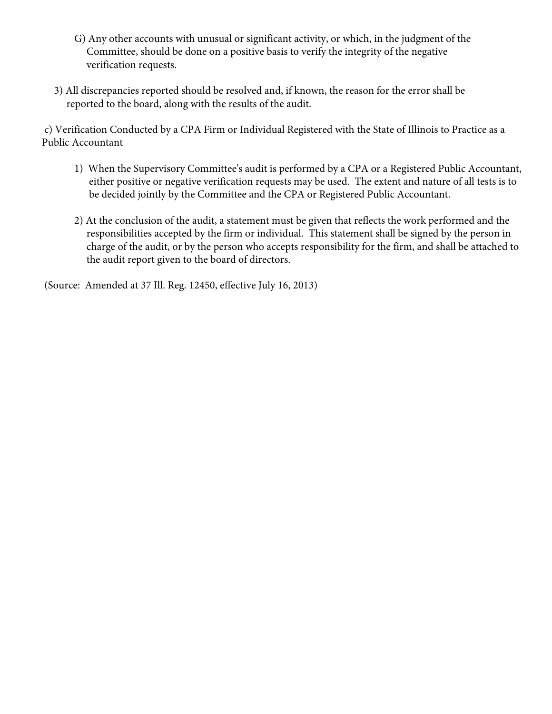- G) Any other accounts with unusual or significant activity, or which, in the judgment of the Committee, should be done on a positive basis to verify the integrity of the negative verification requests.
- 3) All discrepancies reported should be resolved and, if known, the reason for the error shall be reported to the board, along with the results of the audit.

c) Verification Conducted by a CPA Firm or Individual Registered with the State of Illinois to Practice as a Public Accountant

- 1) When the Supervisory Committee's audit is performed by a CPA or a Registered Public Accountant, either positive or negative verification requests may be used. The extent and nature of all tests is to be decided jointly by the Committee and the CPA or Registered Public Accountant.
- 2) At the conclusion of the audit, a statement must be given that reflects the work performed and the responsibilities accepted by the firm or individual. This statement shall be signed by the person in charge of the audit, or by the person who accepts responsibility for the firm, and shall be attached to the audit report given to the board of directors.

(Source: Amended at 37 Ill. Reg. 12450, effective July 16, 2013)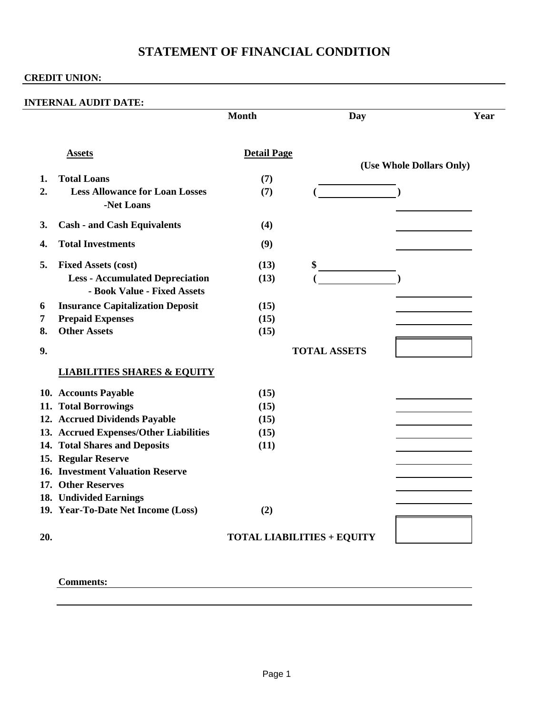# **STATEMENT OF FINANCIAL CONDITION**

## **CREDIT UNION:**

|     |                                                                       | <b>Month</b>       | <b>Day</b>                        | Year                     |
|-----|-----------------------------------------------------------------------|--------------------|-----------------------------------|--------------------------|
|     | <b>Assets</b>                                                         | <b>Detail Page</b> |                                   | (Use Whole Dollars Only) |
| 1.  | <b>Total Loans</b>                                                    | (7)                |                                   |                          |
| 2.  | <b>Less Allowance for Loan Losses</b><br>-Net Loans                   | (7)                |                                   |                          |
| 3.  | <b>Cash - and Cash Equivalents</b>                                    | (4)                |                                   |                          |
| 4.  | <b>Total Investments</b>                                              | (9)                |                                   |                          |
| 5.  | <b>Fixed Assets (cost)</b>                                            | (13)               | \$                                |                          |
|     | <b>Less - Accumulated Depreciation</b><br>- Book Value - Fixed Assets | (13)               |                                   |                          |
| 6   | <b>Insurance Capitalization Deposit</b>                               | (15)               |                                   |                          |
| 7   | <b>Prepaid Expenses</b>                                               | (15)               |                                   |                          |
| 8.  | <b>Other Assets</b>                                                   | (15)               |                                   |                          |
| 9.  |                                                                       |                    | <b>TOTAL ASSETS</b>               |                          |
|     | <b>LIABILITIES SHARES &amp; EQUITY</b>                                |                    |                                   |                          |
|     | 10. Accounts Payable                                                  | (15)               |                                   |                          |
|     | 11. Total Borrowings                                                  | (15)               |                                   |                          |
|     | 12. Accrued Dividends Payable                                         | (15)               |                                   |                          |
|     | 13. Accrued Expenses/Other Liabilities                                | (15)               |                                   |                          |
|     | 14. Total Shares and Deposits                                         | (11)               |                                   |                          |
|     | 15. Regular Reserve                                                   |                    |                                   |                          |
|     | <b>16. Investment Valuation Reserve</b>                               |                    |                                   |                          |
|     | 17. Other Reserves                                                    |                    |                                   |                          |
|     | 18. Undivided Earnings                                                |                    |                                   |                          |
|     | 19. Year-To-Date Net Income (Loss)                                    | (2)                |                                   |                          |
| 20. |                                                                       |                    | <b>TOTAL LIABILITIES + EQUITY</b> |                          |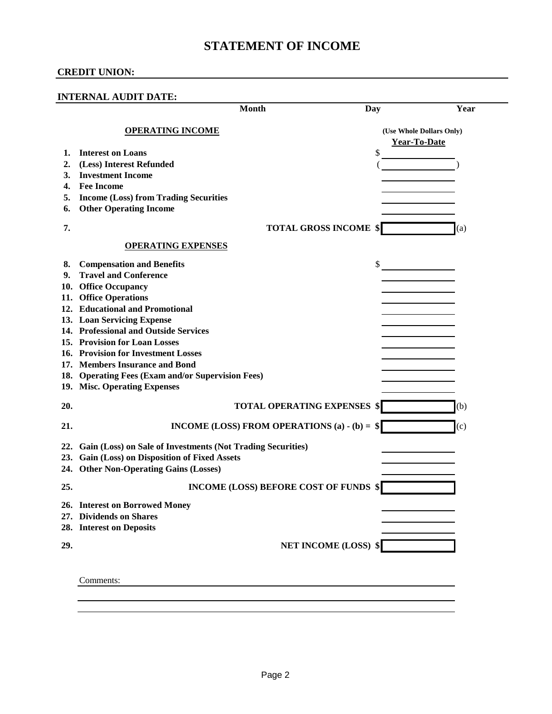## **STATEMENT OF INCOME**

|     | <b>INTERNAL AUDIT DATE:</b>                                                       |                          |      |
|-----|-----------------------------------------------------------------------------------|--------------------------|------|
|     | Month                                                                             | Day                      | Year |
|     | <b>OPERATING INCOME</b>                                                           | (Use Whole Dollars Only) |      |
|     |                                                                                   | Year-To-Date             |      |
| 1.  | <b>Interest on Loans</b>                                                          | \$                       |      |
| 2.  | (Less) Interest Refunded                                                          |                          |      |
| 3.  | <b>Investment Income</b>                                                          |                          |      |
| 4.  | <b>Fee Income</b>                                                                 |                          |      |
| 5.  | <b>Income (Loss) from Trading Securities</b>                                      |                          |      |
| 6.  | <b>Other Operating Income</b>                                                     |                          |      |
| 7.  | <b>TOTAL GROSS INCOME \$</b>                                                      |                          | (a)  |
|     | <b>OPERATING EXPENSES</b>                                                         |                          |      |
| 8.  | <b>Compensation and Benefits</b>                                                  | \$                       |      |
| 9.  | <b>Travel and Conference</b>                                                      |                          |      |
| 10. | <b>Office Occupancy</b>                                                           |                          |      |
|     | 11. Office Operations                                                             |                          |      |
|     | 12. Educational and Promotional                                                   |                          |      |
|     | 13. Loan Servicing Expense                                                        |                          |      |
|     | 14. Professional and Outside Services                                             |                          |      |
|     | 15. Provision for Loan Losses                                                     |                          |      |
|     | 16. Provision for Investment Losses                                               |                          |      |
|     | 17. Members Insurance and Bond                                                    |                          |      |
|     | 18. Operating Fees (Exam and/or Supervision Fees)<br>19. Misc. Operating Expenses |                          |      |
| 20. | <b>TOTAL OPERATING EXPENSES \$</b>                                                |                          | (b)  |
| 21. | INCOME (LOSS) FROM OPERATIONS (a) - (b) = $$$                                     |                          | (c)  |
| 22. | Gain (Loss) on Sale of Investments (Not Trading Securities)                       |                          |      |
|     | 23. Gain (Loss) on Disposition of Fixed Assets                                    |                          |      |
|     | 24. Other Non-Operating Gains (Losses)                                            |                          |      |
| 25. | <b>INCOME (LOSS) BEFORE COST OF FUNDS \$</b>                                      |                          |      |
|     | 26. Interest on Borrowed Money                                                    |                          |      |
|     | 27. Dividends on Shares                                                           |                          |      |
|     | 28. Interest on Deposits                                                          |                          |      |
| 29. | <b>NET INCOME (LOSS) \$</b>                                                       |                          |      |
|     |                                                                                   |                          |      |
|     | Comments:                                                                         |                          |      |
|     |                                                                                   |                          |      |
|     |                                                                                   |                          |      |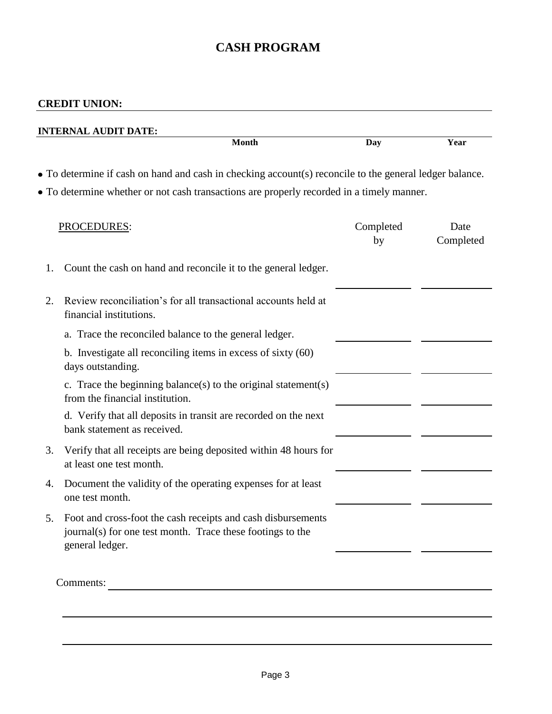# **CASH PROGRAM**

| • To determine if cash on hand and cash in checking account(s) reconcile to the general ledger balance.<br>• To determine whether or not cash transactions are properly recorded in a timely manner.<br>Completed<br>by | Date      |
|-------------------------------------------------------------------------------------------------------------------------------------------------------------------------------------------------------------------------|-----------|
|                                                                                                                                                                                                                         |           |
|                                                                                                                                                                                                                         | Completed |
|                                                                                                                                                                                                                         |           |
|                                                                                                                                                                                                                         |           |
|                                                                                                                                                                                                                         |           |
|                                                                                                                                                                                                                         |           |
|                                                                                                                                                                                                                         |           |
|                                                                                                                                                                                                                         |           |
|                                                                                                                                                                                                                         |           |
|                                                                                                                                                                                                                         |           |
|                                                                                                                                                                                                                         |           |
|                                                                                                                                                                                                                         |           |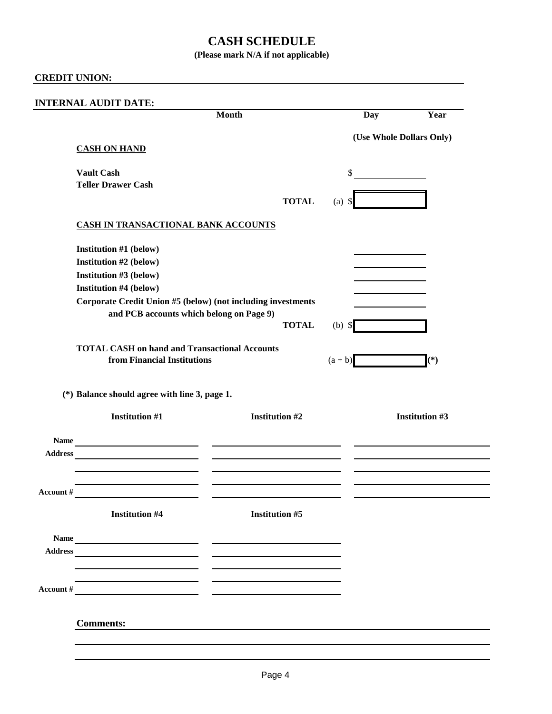## **CASH SCHEDULE**

## **(Please mark N/A if not applicable)**

## **CREDIT UNION:**

|                   |                                                                                                                                                                                                                                                                                                                                                              | <b>Month</b>                                                                                                                                                                                                                                                                                                                                                                                                                                                                                                               | Day                      | Year                  |
|-------------------|--------------------------------------------------------------------------------------------------------------------------------------------------------------------------------------------------------------------------------------------------------------------------------------------------------------------------------------------------------------|----------------------------------------------------------------------------------------------------------------------------------------------------------------------------------------------------------------------------------------------------------------------------------------------------------------------------------------------------------------------------------------------------------------------------------------------------------------------------------------------------------------------------|--------------------------|-----------------------|
|                   |                                                                                                                                                                                                                                                                                                                                                              |                                                                                                                                                                                                                                                                                                                                                                                                                                                                                                                            | (Use Whole Dollars Only) |                       |
|                   | <b>CASH ON HAND</b>                                                                                                                                                                                                                                                                                                                                          |                                                                                                                                                                                                                                                                                                                                                                                                                                                                                                                            |                          |                       |
| <b>Vault Cash</b> |                                                                                                                                                                                                                                                                                                                                                              |                                                                                                                                                                                                                                                                                                                                                                                                                                                                                                                            | \$                       |                       |
|                   | <b>Teller Drawer Cash</b>                                                                                                                                                                                                                                                                                                                                    |                                                                                                                                                                                                                                                                                                                                                                                                                                                                                                                            |                          |                       |
|                   |                                                                                                                                                                                                                                                                                                                                                              | <b>TOTAL</b>                                                                                                                                                                                                                                                                                                                                                                                                                                                                                                               | $(a)$ \$                 |                       |
|                   | <b>CASH IN TRANSACTIONAL BANK ACCOUNTS</b>                                                                                                                                                                                                                                                                                                                   |                                                                                                                                                                                                                                                                                                                                                                                                                                                                                                                            |                          |                       |
|                   | Institution #1 (below)                                                                                                                                                                                                                                                                                                                                       |                                                                                                                                                                                                                                                                                                                                                                                                                                                                                                                            |                          |                       |
|                   | Institution #2 (below)                                                                                                                                                                                                                                                                                                                                       |                                                                                                                                                                                                                                                                                                                                                                                                                                                                                                                            |                          |                       |
|                   | Institution #3 (below)                                                                                                                                                                                                                                                                                                                                       |                                                                                                                                                                                                                                                                                                                                                                                                                                                                                                                            |                          |                       |
|                   | <b>Institution #4 (below)</b>                                                                                                                                                                                                                                                                                                                                |                                                                                                                                                                                                                                                                                                                                                                                                                                                                                                                            |                          |                       |
|                   |                                                                                                                                                                                                                                                                                                                                                              | Corporate Credit Union #5 (below) (not including investments                                                                                                                                                                                                                                                                                                                                                                                                                                                               |                          |                       |
|                   | and PCB accounts which belong on Page 9)                                                                                                                                                                                                                                                                                                                     |                                                                                                                                                                                                                                                                                                                                                                                                                                                                                                                            |                          |                       |
|                   |                                                                                                                                                                                                                                                                                                                                                              | <b>TOTAL</b>                                                                                                                                                                                                                                                                                                                                                                                                                                                                                                               | $(b)$ \$                 |                       |
|                   | <b>TOTAL CASH on hand and Transactional Accounts</b>                                                                                                                                                                                                                                                                                                         |                                                                                                                                                                                                                                                                                                                                                                                                                                                                                                                            |                          |                       |
|                   | from Financial Institutions                                                                                                                                                                                                                                                                                                                                  |                                                                                                                                                                                                                                                                                                                                                                                                                                                                                                                            | $(a + b)$                | $(*)$                 |
|                   | (*) Balance should agree with line 3, page 1.                                                                                                                                                                                                                                                                                                                |                                                                                                                                                                                                                                                                                                                                                                                                                                                                                                                            |                          |                       |
|                   | <b>Institution #1</b>                                                                                                                                                                                                                                                                                                                                        | <b>Institution #2</b>                                                                                                                                                                                                                                                                                                                                                                                                                                                                                                      |                          |                       |
|                   |                                                                                                                                                                                                                                                                                                                                                              |                                                                                                                                                                                                                                                                                                                                                                                                                                                                                                                            |                          | <b>Institution #3</b> |
|                   |                                                                                                                                                                                                                                                                                                                                                              |                                                                                                                                                                                                                                                                                                                                                                                                                                                                                                                            |                          |                       |
|                   |                                                                                                                                                                                                                                                                                                                                                              |                                                                                                                                                                                                                                                                                                                                                                                                                                                                                                                            |                          |                       |
| Account #         | <u> 1989 - Johann Barn, mars ann an t-Amhain Aonaich an t-Aonaich an t-Aonaich ann an t-Aonaich ann an t-Aonaich</u><br><u>and the community of the community of the community of the community of the community of the community of the community of the community of the community of the community of the community of the community of the community</u> | the control of the control of the control of<br>$\frac{1}{2} \left( \frac{1}{2} \right) \left( \frac{1}{2} \right) \left( \frac{1}{2} \right) \left( \frac{1}{2} \right) \left( \frac{1}{2} \right) \left( \frac{1}{2} \right) \left( \frac{1}{2} \right) \left( \frac{1}{2} \right) \left( \frac{1}{2} \right) \left( \frac{1}{2} \right) \left( \frac{1}{2} \right) \left( \frac{1}{2} \right) \left( \frac{1}{2} \right) \left( \frac{1}{2} \right) \left( \frac{1}{2} \right) \left( \frac{1}{2} \right) \left( \frac$ |                          |                       |
|                   | <b>Institution #4</b>                                                                                                                                                                                                                                                                                                                                        | <b>Institution #5</b>                                                                                                                                                                                                                                                                                                                                                                                                                                                                                                      |                          |                       |
|                   |                                                                                                                                                                                                                                                                                                                                                              |                                                                                                                                                                                                                                                                                                                                                                                                                                                                                                                            |                          |                       |
|                   |                                                                                                                                                                                                                                                                                                                                                              |                                                                                                                                                                                                                                                                                                                                                                                                                                                                                                                            |                          |                       |
|                   | Address                                                                                                                                                                                                                                                                                                                                                      |                                                                                                                                                                                                                                                                                                                                                                                                                                                                                                                            |                          |                       |
|                   | the contract of the contract of the contract of the contract of the contract of                                                                                                                                                                                                                                                                              |                                                                                                                                                                                                                                                                                                                                                                                                                                                                                                                            |                          |                       |
|                   | Account #                                                                                                                                                                                                                                                                                                                                                    |                                                                                                                                                                                                                                                                                                                                                                                                                                                                                                                            |                          |                       |
| <b>Comments:</b>  |                                                                                                                                                                                                                                                                                                                                                              |                                                                                                                                                                                                                                                                                                                                                                                                                                                                                                                            |                          |                       |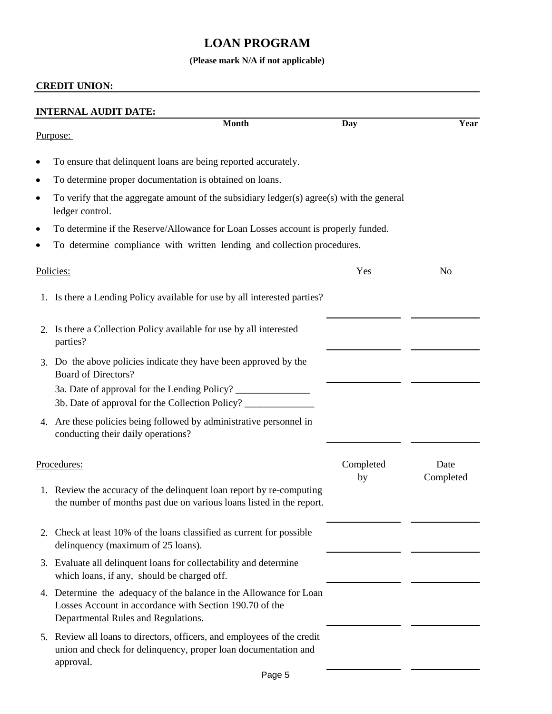# **LOAN PROGRAM**

## **(Please mark N/A if not applicable)**

|           | <b>INTERNAL AUDIT DATE:</b>                                                                                                                                          |                 |                   |
|-----------|----------------------------------------------------------------------------------------------------------------------------------------------------------------------|-----------------|-------------------|
|           | <b>Month</b><br>Purpose:                                                                                                                                             | <b>Day</b>      | Year              |
| $\bullet$ | To ensure that delinquent loans are being reported accurately.                                                                                                       |                 |                   |
| ٠         | To determine proper documentation is obtained on loans.                                                                                                              |                 |                   |
| $\bullet$ | To verify that the aggregate amount of the subsidiary ledger(s) agree(s) with the general<br>ledger control.                                                         |                 |                   |
| ٠         | To determine if the Reserve/Allowance for Loan Losses account is properly funded.                                                                                    |                 |                   |
| ٠         | To determine compliance with written lending and collection procedures.                                                                                              |                 |                   |
|           | Policies:                                                                                                                                                            | Yes             | N <sub>o</sub>    |
|           | 1. Is there a Lending Policy available for use by all interested parties?                                                                                            |                 |                   |
|           | 2. Is there a Collection Policy available for use by all interested<br>parties?                                                                                      |                 |                   |
|           | 3. Do the above policies indicate they have been approved by the<br><b>Board of Directors?</b>                                                                       |                 |                   |
|           | 3a. Date of approval for the Lending Policy? ___________________________________<br>3b. Date of approval for the Collection Policy?                                  |                 |                   |
| 4.        | Are these policies being followed by administrative personnel in<br>conducting their daily operations?                                                               |                 |                   |
|           | Procedures:                                                                                                                                                          | Completed<br>by | Date<br>Completed |
|           | 1. Review the accuracy of the delinquent loan report by re-computing<br>the number of months past due on various loans listed in the report.                         |                 |                   |
|           | 2. Check at least 10% of the loans classified as current for possible<br>delinquency (maximum of 25 loans).                                                          |                 |                   |
|           | 3. Evaluate all delinquent loans for collectability and determine<br>which loans, if any, should be charged off.                                                     |                 |                   |
|           | 4. Determine the adequacy of the balance in the Allowance for Loan<br>Losses Account in accordance with Section 190.70 of the<br>Departmental Rules and Regulations. |                 |                   |
|           | 5. Review all loans to directors, officers, and employees of the credit<br>union and check for delinquency, proper loan documentation and<br>approval.               |                 |                   |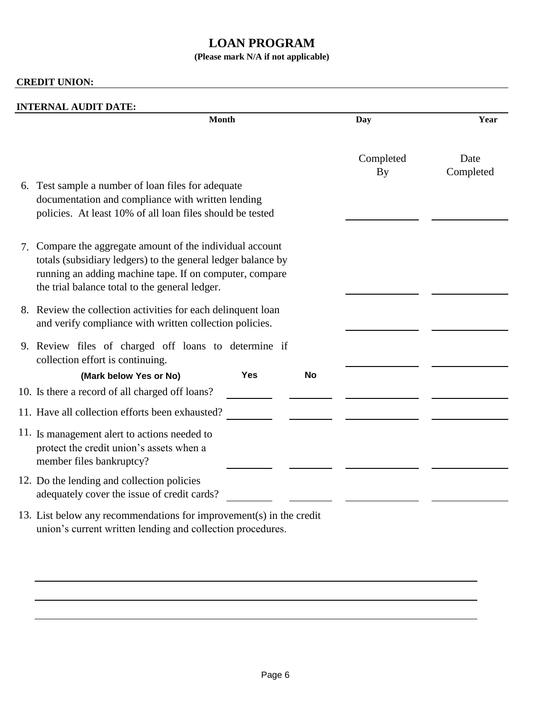## **LOAN PROGRAM**

## **(Please mark N/A if not applicable)**

|                                                                                                                                                                                                                                           | <b>Month</b> |           | Day             | Year              |
|-------------------------------------------------------------------------------------------------------------------------------------------------------------------------------------------------------------------------------------------|--------------|-----------|-----------------|-------------------|
| 6. Test sample a number of loan files for adequate<br>documentation and compliance with written lending<br>policies. At least 10% of all loan files should be tested                                                                      |              |           | Completed<br>By | Date<br>Completed |
| Compare the aggregate amount of the individual account<br>7.<br>totals (subsidiary ledgers) to the general ledger balance by<br>running an adding machine tape. If on computer, compare<br>the trial balance total to the general ledger. |              |           |                 |                   |
| 8. Review the collection activities for each delinquent loan<br>and verify compliance with written collection policies.                                                                                                                   |              |           |                 |                   |
| 9. Review files of charged off loans to determine if<br>collection effort is continuing.                                                                                                                                                  |              |           |                 |                   |
| (Mark below Yes or No)                                                                                                                                                                                                                    | <b>Yes</b>   | <b>No</b> |                 |                   |
| 10. Is there a record of all charged off loans?                                                                                                                                                                                           |              |           |                 |                   |
| 11. Have all collection efforts been exhausted?                                                                                                                                                                                           |              |           |                 |                   |
| 11. Is management alert to actions needed to<br>protect the credit union's assets when a<br>member files bankruptcy?                                                                                                                      |              |           |                 |                   |
| 12. Do the lending and collection policies<br>adequately cover the issue of credit cards?                                                                                                                                                 |              |           |                 |                   |
| 13. List below any recommendations for improvement(s) in the credit<br>union's current written lending and collection procedures.                                                                                                         |              |           |                 |                   |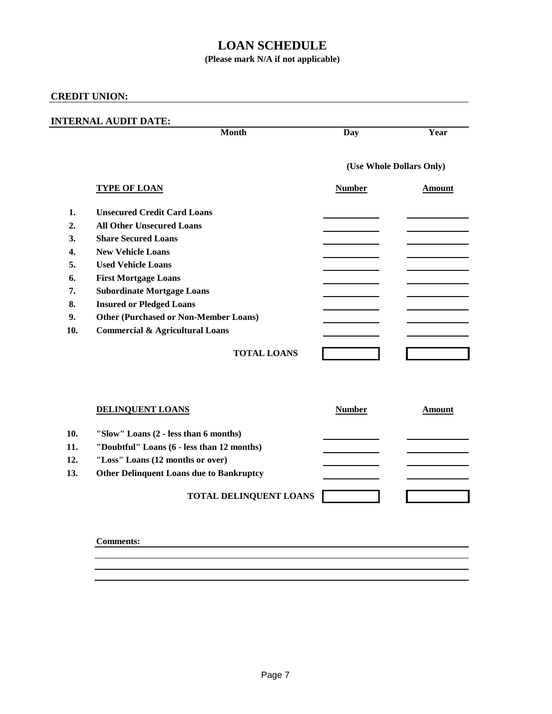## **LOAN SCHEDULE**

## **(Please mark N/A if not applicable)**

## **CREDIT UNION:**

## **INTERNAL AUDIT DATE:**

|     | <b>Month</b>                                    | Day           | Year                     |
|-----|-------------------------------------------------|---------------|--------------------------|
|     |                                                 |               | (Use Whole Dollars Only) |
|     | <b>TYPE OF LOAN</b>                             | <b>Number</b> | <b>Amount</b>            |
| 1.  | <b>Unsecured Credit Card Loans</b>              |               |                          |
| 2.  | <b>All Other Unsecured Loans</b>                |               |                          |
| 3.  | <b>Share Secured Loans</b>                      |               |                          |
| 4.  | <b>New Vehicle Loans</b>                        |               |                          |
| 5.  | <b>Used Vehicle Loans</b>                       |               |                          |
| 6.  | <b>First Mortgage Loans</b>                     |               |                          |
| 7.  | <b>Subordinate Mortgage Loans</b>               |               |                          |
| 8.  | <b>Insured or Pledged Loans</b>                 |               |                          |
| 9.  | <b>Other (Purchased or Non-Member Loans)</b>    |               |                          |
| 10. | <b>Commercial &amp; Agricultural Loans</b>      |               |                          |
|     |                                                 |               |                          |
|     | <b>TOTAL LOANS</b>                              |               |                          |
|     |                                                 |               |                          |
|     |                                                 |               |                          |
|     | <b>DELINQUENT LOANS</b>                         | <b>Number</b> | <b>Amount</b>            |
| 10. | "Slow" Loans (2 - less than 6 months)           |               |                          |
| 11. | "Doubtful" Loans (6 - less than 12 months)      |               |                          |
| 12. | "Loss" Loans (12 months or over)                |               |                          |
| 13. | <b>Other Delinquent Loans due to Bankruptcy</b> |               |                          |
|     |                                                 |               |                          |
|     | TOTAL DELINQUENT LOANS                          |               |                          |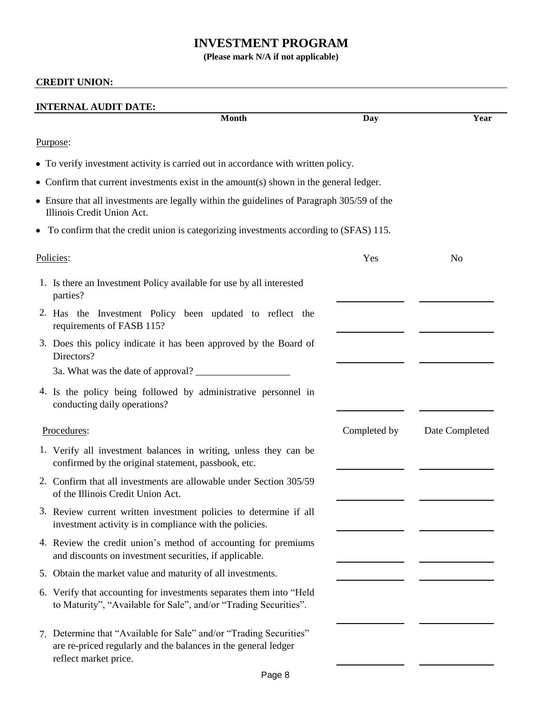## **INVESTMENT PROGRAM**

**(Please mark N/A if not applicable)**

|           | <b>INTERNAL AUDIT DATE:</b>                                                                                                                                   |              |                |
|-----------|---------------------------------------------------------------------------------------------------------------------------------------------------------------|--------------|----------------|
|           | <b>Month</b>                                                                                                                                                  | Day          | Year           |
| Purpose:  |                                                                                                                                                               |              |                |
|           | • To verify investment activity is carried out in accordance with written policy.                                                                             |              |                |
|           | • Confirm that current investments exist in the amount(s) shown in the general ledger.                                                                        |              |                |
|           | • Ensure that all investments are legally within the guidelines of Paragraph 305/59 of the<br>Illinois Credit Union Act.                                      |              |                |
|           | • To confirm that the credit union is categorizing investments according to (SFAS) 115.                                                                       |              |                |
| Policies: |                                                                                                                                                               | Yes          | N <sub>0</sub> |
|           | 1. Is there an Investment Policy available for use by all interested<br>parties?                                                                              |              |                |
|           | 2. Has the Investment Policy been updated to reflect the<br>requirements of FASB 115?                                                                         |              |                |
|           | 3. Does this policy indicate it has been approved by the Board of<br>Directors?                                                                               |              |                |
|           |                                                                                                                                                               |              |                |
|           | 4. Is the policy being followed by administrative personnel in<br>conducting daily operations?                                                                |              |                |
|           | Procedures:                                                                                                                                                   | Completed by | Date Completed |
|           | 1. Verify all investment balances in writing, unless they can be<br>confirmed by the original statement, passbook, etc.                                       |              |                |
|           | 2. Confirm that all investments are allowable under Section 305/59<br>of the Illinois Credit Union Act.                                                       |              |                |
|           | 3. Review current written investment policies to determine if all<br>investment activity is in compliance with the policies.                                  |              |                |
|           | 4. Review the credit union's method of accounting for premiums<br>and discounts on investment securities, if applicable.                                      |              |                |
|           | 5. Obtain the market value and maturity of all investments.                                                                                                   |              |                |
|           | 6. Verify that accounting for investments separates them into "Held"<br>to Maturity", "Available for Sale", and/or "Trading Securities".                      |              |                |
|           | 7. Determine that "Available for Sale" and/or "Trading Securities"<br>are re-priced regularly and the balances in the general ledger<br>reflect market price. |              |                |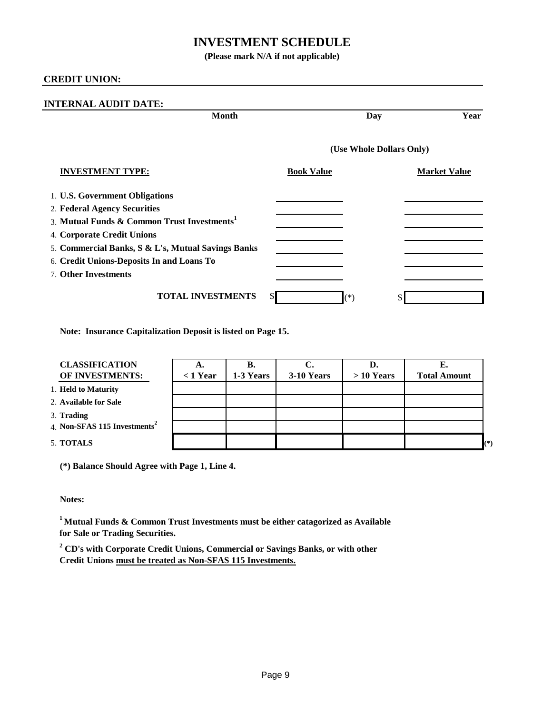## **INVESTMENT SCHEDULE**

**(Please mark N/A if not applicable)**

#### **CREDIT UNION:**

| <b>INTERNAL AUDIT DATE:</b>                                                                                                                                                                                                                                                               |                          |                     |
|-------------------------------------------------------------------------------------------------------------------------------------------------------------------------------------------------------------------------------------------------------------------------------------------|--------------------------|---------------------|
| <b>Month</b>                                                                                                                                                                                                                                                                              | Day                      | Year                |
|                                                                                                                                                                                                                                                                                           | (Use Whole Dollars Only) |                     |
| <b>INVESTMENT TYPE:</b>                                                                                                                                                                                                                                                                   | <b>Book Value</b>        | <b>Market Value</b> |
| 1. U.S. Government Obligations<br>2. Federal Agency Securities<br>3. Mutual Funds & Common Trust Investments <sup>1</sup><br>4. Corporate Credit Unions<br>5. Commercial Banks, S & L's, Mutual Savings Banks<br>6. Credit Unions-Deposits In and Loans To<br><b>7. Other Investments</b> |                          |                     |
| <b>TOTAL INVESTMENTS</b>                                                                                                                                                                                                                                                                  | S.<br>$(\ast)$           | \$                  |

**Note: Insurance Capitalization Deposit is listed on Page 15.**

| <b>CLASSIFICATION</b>                    | А.         | В.        |            | D.          |                     |       |
|------------------------------------------|------------|-----------|------------|-------------|---------------------|-------|
| OF INVESTMENTS:                          | $<$ 1 Year | 1-3 Years | 3-10 Years | $>10$ Years | <b>Total Amount</b> |       |
| 1. Held to Maturity                      |            |           |            |             |                     |       |
| 2. Available for Sale                    |            |           |            |             |                     |       |
| 3. Trading                               |            |           |            |             |                     |       |
| 4. Non-SFAS 115 Investments <sup>2</sup> |            |           |            |             |                     |       |
| 5. TOTALS                                |            |           |            |             |                     | $(*)$ |

**(\*) Balance Should Agree with Page 1, Line 4.**

**Notes:**

**<sup>1</sup>Mutual Funds & Common Trust Investments must be either catagorized as Available for Sale or Trading Securities.**

**2 CD's with Corporate Credit Unions, Commercial or Savings Banks, or with other Credit Unions must be treated as Non-SFAS 115 Investments.**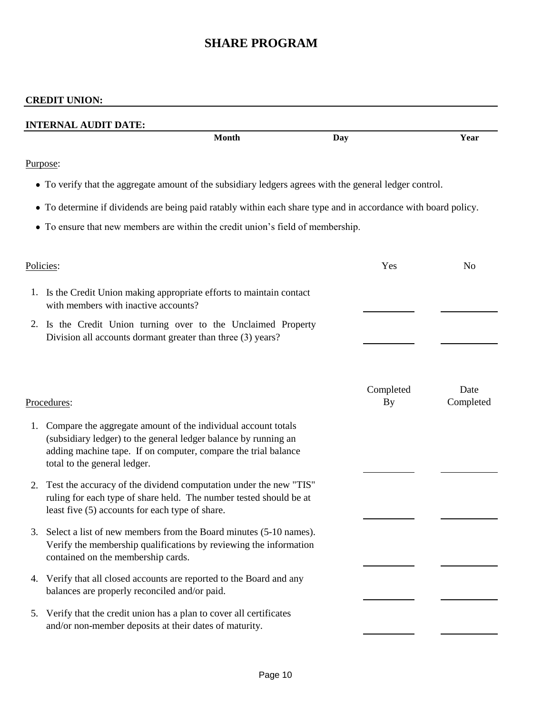# **SHARE PROGRAM**

|    | <b>CREDIT UNION:</b>                                                                                                                                                                                                               |              |                        |                   |
|----|------------------------------------------------------------------------------------------------------------------------------------------------------------------------------------------------------------------------------------|--------------|------------------------|-------------------|
|    | <b>INTERNAL AUDIT DATE:</b>                                                                                                                                                                                                        |              |                        |                   |
|    |                                                                                                                                                                                                                                    | <b>Month</b> | Day                    | Year              |
|    | Purpose:                                                                                                                                                                                                                           |              |                        |                   |
|    | • To verify that the aggregate amount of the subsidiary ledgers agrees with the general ledger control.                                                                                                                            |              |                        |                   |
|    | • To determine if dividends are being paid ratably within each share type and in accordance with board policy.                                                                                                                     |              |                        |                   |
|    | • To ensure that new members are within the credit union's field of membership.                                                                                                                                                    |              |                        |                   |
|    | Policies:                                                                                                                                                                                                                          |              | Yes                    | N <sub>0</sub>    |
|    | 1. Is the Credit Union making appropriate efforts to maintain contact<br>with members with inactive accounts?                                                                                                                      |              |                        |                   |
| 2. | Is the Credit Union turning over to the Unclaimed Property<br>Division all accounts dormant greater than three (3) years?                                                                                                          |              |                        |                   |
|    | Procedures:                                                                                                                                                                                                                        |              | Completed<br><b>By</b> | Date<br>Completed |
| 1. | Compare the aggregate amount of the individual account totals<br>(subsidiary ledger) to the general ledger balance by running an<br>adding machine tape. If on computer, compare the trial balance<br>total to the general ledger. |              |                        |                   |
| 2. | Test the accuracy of the dividend computation under the new "TIS"<br>ruling for each type of share held. The number tested should be at<br>least five (5) accounts for each type of share.                                         |              |                        |                   |
| 3. | Select a list of new members from the Board minutes (5-10 names).<br>Verify the membership qualifications by reviewing the information<br>contained on the membership cards.                                                       |              |                        |                   |
| 4. | Verify that all closed accounts are reported to the Board and any<br>balances are properly reconciled and/or paid.                                                                                                                 |              |                        |                   |
| 5. | Verify that the credit union has a plan to cover all certificates<br>and/or non-member deposits at their dates of maturity.                                                                                                        |              |                        |                   |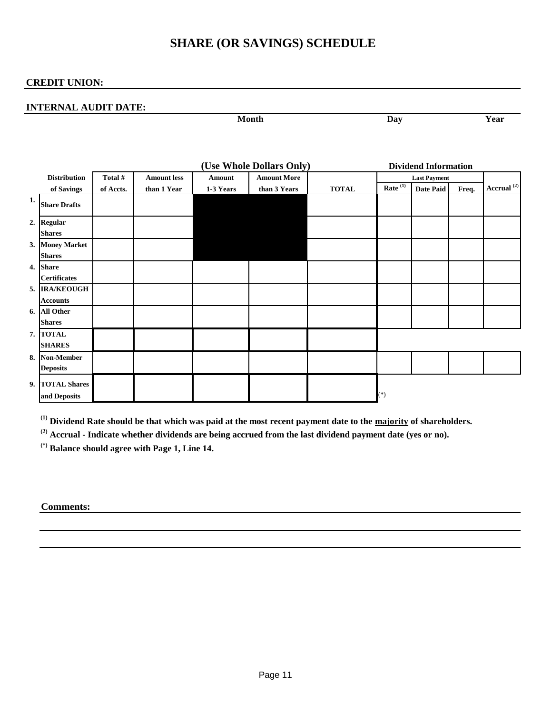## **SHARE (OR SAVINGS) SCHEDULE**

#### **CREDIT UNION:**

#### **INTERNAL AUDIT DATE:**

| . .<br>ιvι<br><b>TATOTION</b><br>-------- | — <b>—</b> | --<br>---- |
|-------------------------------------------|------------|------------|

|    |                                      |           |                    |           | (Use Whole Dollars Only) |              |            | <b>Dividend Information</b> |       |                        |
|----|--------------------------------------|-----------|--------------------|-----------|--------------------------|--------------|------------|-----------------------------|-------|------------------------|
|    | <b>Distribution</b>                  | Total #   | <b>Amount less</b> | Amount    | <b>Amount More</b>       |              |            | <b>Last Payment</b>         |       |                        |
|    | of Savings                           | of Accts. | than 1 Year        | 1-3 Years | than 3 Years             | <b>TOTAL</b> | Rate $(1)$ | <b>Date Paid</b>            | Freq. | Accrual <sup>(2)</sup> |
| 1. | <b>Share Drafts</b>                  |           |                    |           |                          |              |            |                             |       |                        |
|    | 2. Regular<br><b>Shares</b>          |           |                    |           |                          |              |            |                             |       |                        |
|    | 3. Money Market<br><b>Shares</b>     |           |                    |           |                          |              |            |                             |       |                        |
| 4. | <b>Share</b><br><b>Certificates</b>  |           |                    |           |                          |              |            |                             |       |                        |
|    | 5. IRA/KEOUGH<br><b>Accounts</b>     |           |                    |           |                          |              |            |                             |       |                        |
| 6. | <b>All Other</b><br><b>Shares</b>    |           |                    |           |                          |              |            |                             |       |                        |
|    | 7. TOTAL<br><b>SHARES</b>            |           |                    |           |                          |              |            |                             |       |                        |
| 8. | <b>Non-Member</b><br><b>Deposits</b> |           |                    |           |                          |              |            |                             |       |                        |
| 9. | <b>TOTAL Shares</b><br>and Deposits  |           |                    |           |                          |              | $(*)$      |                             |       |                        |

**(1) Dividend Rate should be that which was paid at the most recent payment date to the majority of shareholders.**

**(2) Accrual - Indicate whether dividends are being accrued from the last dividend payment date (yes or no).**

**(\*) Balance should agree with Page 1, Line 14.**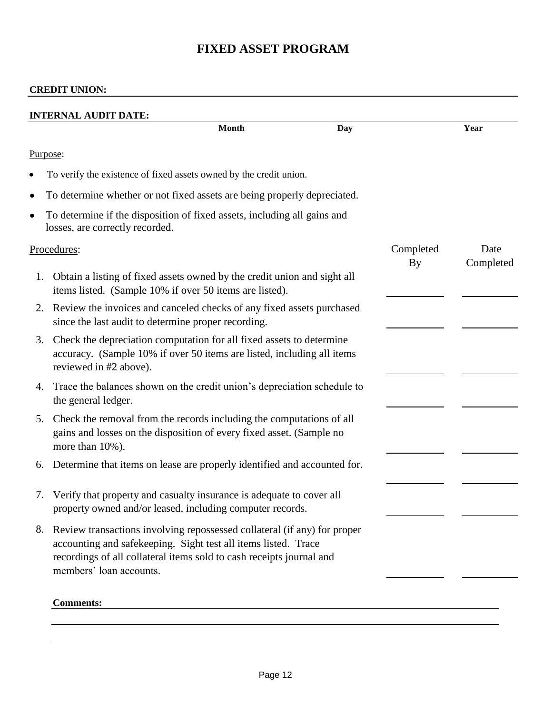# **FIXED ASSET PROGRAM**

|    |                                                                                                                                                                                                                                               | <b>Month</b> | Day |                 | Year              |
|----|-----------------------------------------------------------------------------------------------------------------------------------------------------------------------------------------------------------------------------------------------|--------------|-----|-----------------|-------------------|
|    | Purpose:                                                                                                                                                                                                                                      |              |     |                 |                   |
|    | To verify the existence of fixed assets owned by the credit union.                                                                                                                                                                            |              |     |                 |                   |
| ٠  | To determine whether or not fixed assets are being properly depreciated.                                                                                                                                                                      |              |     |                 |                   |
| ٠  | To determine if the disposition of fixed assets, including all gains and<br>losses, are correctly recorded.                                                                                                                                   |              |     |                 |                   |
|    | Procedures:                                                                                                                                                                                                                                   |              |     | Completed<br>By | Date<br>Completed |
| 1. | Obtain a listing of fixed assets owned by the credit union and sight all<br>items listed. (Sample 10% if over 50 items are listed).                                                                                                           |              |     |                 |                   |
| 2. | Review the invoices and canceled checks of any fixed assets purchased<br>since the last audit to determine proper recording.                                                                                                                  |              |     |                 |                   |
| 3. | Check the depreciation computation for all fixed assets to determine<br>accuracy. (Sample 10% if over 50 items are listed, including all items<br>reviewed in #2 above).                                                                      |              |     |                 |                   |
| 4. | Trace the balances shown on the credit union's depreciation schedule to<br>the general ledger.                                                                                                                                                |              |     |                 |                   |
| 5. | Check the removal from the records including the computations of all<br>gains and losses on the disposition of every fixed asset. (Sample no<br>more than 10%).                                                                               |              |     |                 |                   |
| 6. | Determine that items on lease are properly identified and accounted for.                                                                                                                                                                      |              |     |                 |                   |
| 7. | Verify that property and casualty insurance is adequate to cover all<br>property owned and/or leased, including computer records.                                                                                                             |              |     |                 |                   |
| 8. | Review transactions involving repossessed collateral (if any) for proper<br>accounting and safekeeping. Sight test all items listed. Trace<br>recordings of all collateral items sold to cash receipts journal and<br>members' loan accounts. |              |     |                 |                   |
|    | <b>Comments:</b>                                                                                                                                                                                                                              |              |     |                 |                   |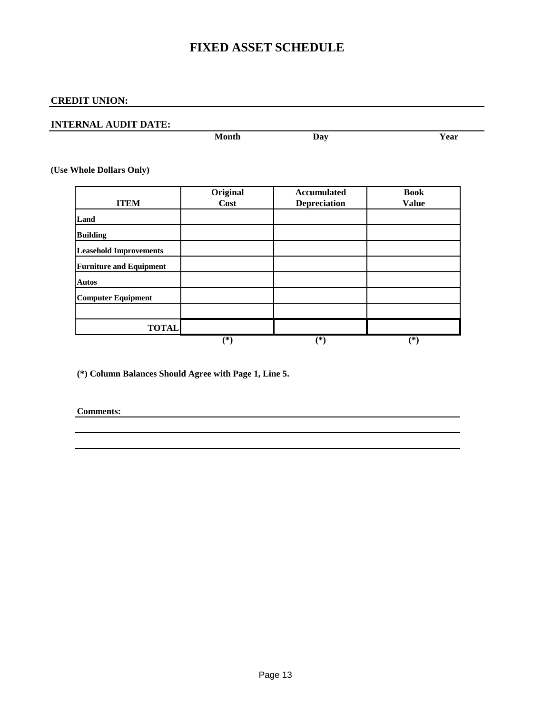## **FIXED ASSET SCHEDULE**

## **CREDIT UNION:**

#### **INTERNAL AUDIT DATE:**

| Month<br>_____ | 19 <sup>7</sup><br>້<br>œ. | ∶а1 |
|----------------|----------------------------|-----|

**(Use Whole Dollars Only)**

|                                | Original | <b>Accumulated</b>  | <b>Book</b>  |
|--------------------------------|----------|---------------------|--------------|
| <b>ITEM</b>                    | Cost     | <b>Depreciation</b> | <b>Value</b> |
| Land                           |          |                     |              |
| <b>Building</b>                |          |                     |              |
| <b>Leasehold Improvements</b>  |          |                     |              |
| <b>Furniture and Equipment</b> |          |                     |              |
| <b>Autos</b>                   |          |                     |              |
| Computer Equipment             |          |                     |              |
|                                |          |                     |              |
| <b>TOTAL</b>                   |          |                     |              |
|                                | (*`      | (*)                 | (*`          |

**(\*) Column Balances Should Agree with Page 1, Line 5.**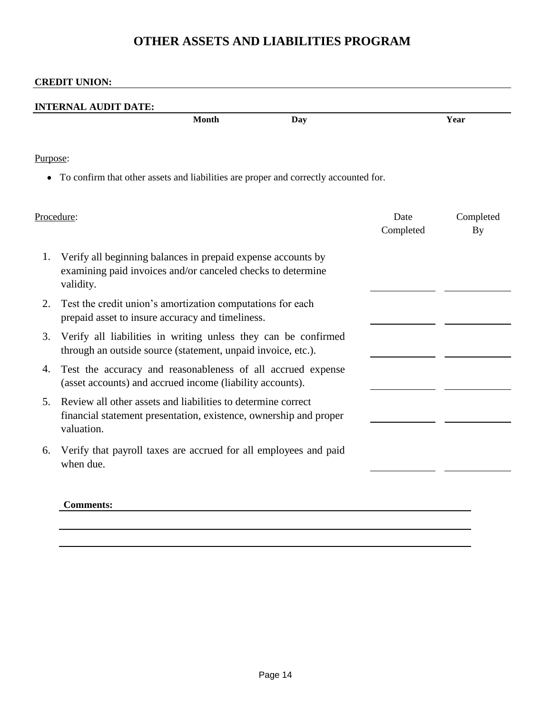## **OTHER ASSETS AND LIABILITIES PROGRAM**

|          | <b>Month</b><br><b>Day</b>                                                                                                                      |                   | Year                   |
|----------|-------------------------------------------------------------------------------------------------------------------------------------------------|-------------------|------------------------|
| Purpose: |                                                                                                                                                 |                   |                        |
|          | To confirm that other assets and liabilities are proper and correctly accounted for.                                                            |                   |                        |
|          | Procedure:                                                                                                                                      | Date<br>Completed | Completed<br><b>By</b> |
| 1.       | Verify all beginning balances in prepaid expense accounts by<br>examining paid invoices and/or canceled checks to determine<br>validity.        |                   |                        |
| 2.       | Test the credit union's amortization computations for each<br>prepaid asset to insure accuracy and timeliness.                                  |                   |                        |
| 3.       | Verify all liabilities in writing unless they can be confirmed<br>through an outside source (statement, unpaid invoice, etc.).                  |                   |                        |
| 4.       | Test the accuracy and reasonableness of all accrued expense<br>(asset accounts) and accrued income (liability accounts).                        |                   |                        |
| 5.       | Review all other assets and liabilities to determine correct<br>financial statement presentation, existence, ownership and proper<br>valuation. |                   |                        |
| 6.       | Verify that payroll taxes are accrued for all employees and paid<br>when due.                                                                   |                   |                        |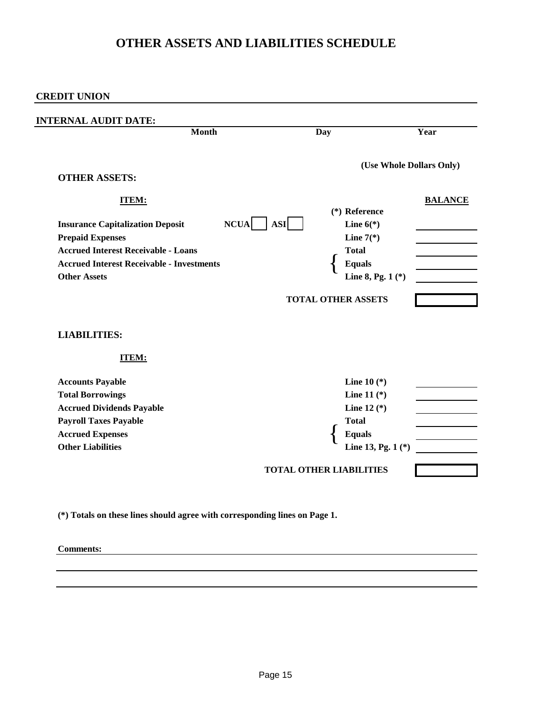## **OTHER ASSETS AND LIABILITIES SCHEDULE**

**CREDIT UNION:**

| <b>Month</b>                                                                                                                                                                                                | <b>Day</b>                | Year                                                                                                                      |
|-------------------------------------------------------------------------------------------------------------------------------------------------------------------------------------------------------------|---------------------------|---------------------------------------------------------------------------------------------------------------------------|
| <b>OTHER ASSETS:</b>                                                                                                                                                                                        |                           | (Use Whole Dollars Only)                                                                                                  |
| <b>ITEM:</b><br><b>Insurance Capitalization Deposit</b><br><b>Prepaid Expenses</b><br><b>Accrued Interest Receivable - Loans</b><br><b>Accrued Interest Receivable - Investments</b><br><b>Other Assets</b> | <b>NCUA</b><br><b>ASI</b> | <b>BALANCE</b><br>$(*)$ Reference<br>Line $6(*)$<br>Line $7(*)$<br><b>Total</b><br><b>Equals</b><br>Line 8, Pg. $1$ $(*)$ |
| <b>LIABILITIES:</b><br><b>ITEM:</b>                                                                                                                                                                         |                           |                                                                                                                           |
| <b>Accounts Payable</b><br><b>Total Borrowings</b><br><b>Accrued Dividends Payable</b><br><b>Payroll Taxes Payable</b><br><b>Accrued Expenses</b><br><b>Other Liabilities</b>                               |                           | <b>Line 10</b> $(*)$<br>Line 11 $(*)$<br>Line 12 $(*)$<br><b>Total</b><br><b>Equals</b><br>Line 13, Pg. 1 (*)             |
|                                                                                                                                                                                                             |                           |                                                                                                                           |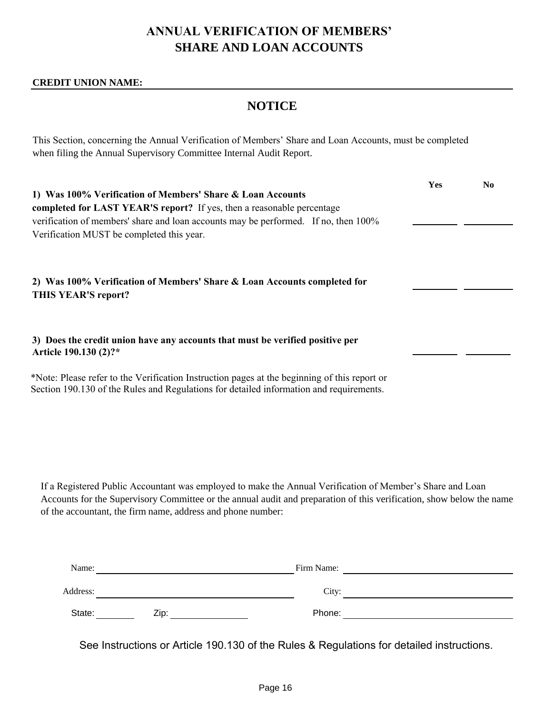# **ANNUAL VERIFICATION OF MEMBERS' SHARE AND LOAN ACCOUNTS**

#### **CREDIT UNION NAME:**

## **NOTICE**

This Section, concerning the Annual Verification of Members' Share and Loan Accounts, must be completed when filing the Annual Supervisory Committee Internal Audit Report.

| 1) Was 100% Verification of Members' Share & Loan Accounts<br>completed for LAST YEAR'S report? If yes, then a reasonable percentage<br>verification of members' share and loan accounts may be performed. If no, then 100%<br>Verification MUST be completed this year. | Yes | N <sub>0</sub> |
|--------------------------------------------------------------------------------------------------------------------------------------------------------------------------------------------------------------------------------------------------------------------------|-----|----------------|
| 2) Was 100% Verification of Members' Share & Loan Accounts completed for<br>THIS YEAR'S report?                                                                                                                                                                          |     |                |
| 3) Does the credit union have any accounts that must be verified positive per<br>Article 190.130 (2)?*                                                                                                                                                                   |     |                |
| *Note: Please refer to the Verification Instruction pages at the beginning of this report or<br>Section 190.130 of the Rules and Regulations for detailed information and requirements.                                                                                  |     |                |

If a Registered Public Accountant was employed to make the Annual Verification of Member's Share and Loan Accounts for the Supervisory Committee or the annual audit and preparation of this verification, show below the name of the accountant, the firm name, address and phone number:

| Name:    |      | Firm Name: |  |
|----------|------|------------|--|
| Address: |      | City:      |  |
| State:   | Zip: | Phone:     |  |

See Instructions or Article 190.130 of the Rules & Regulations for detailed instructions.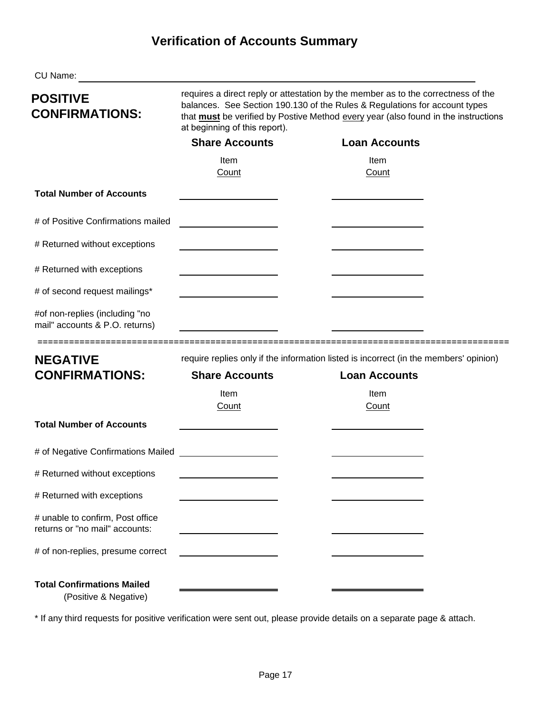# **Verification of Accounts Summary**

| CU Name:                                                                                    |                                                                                                                                                                                                                                                                                        |                                                                                       |  |  |  |
|---------------------------------------------------------------------------------------------|----------------------------------------------------------------------------------------------------------------------------------------------------------------------------------------------------------------------------------------------------------------------------------------|---------------------------------------------------------------------------------------|--|--|--|
| <b>POSITIVE</b><br><b>CONFIRMATIONS:</b>                                                    | requires a direct reply or attestation by the member as to the correctness of the<br>balances. See Section 190.130 of the Rules & Regulations for account types<br>that must be verified by Postive Method every year (also found in the instructions<br>at beginning of this report). |                                                                                       |  |  |  |
|                                                                                             | <b>Share Accounts</b>                                                                                                                                                                                                                                                                  | <b>Loan Accounts</b>                                                                  |  |  |  |
|                                                                                             | Item<br>Count                                                                                                                                                                                                                                                                          | Item<br>Count                                                                         |  |  |  |
| <b>Total Number of Accounts</b>                                                             |                                                                                                                                                                                                                                                                                        |                                                                                       |  |  |  |
| # of Positive Confirmations mailed                                                          |                                                                                                                                                                                                                                                                                        |                                                                                       |  |  |  |
| # Returned without exceptions                                                               |                                                                                                                                                                                                                                                                                        |                                                                                       |  |  |  |
| # Returned with exceptions                                                                  |                                                                                                                                                                                                                                                                                        |                                                                                       |  |  |  |
| # of second request mailings*                                                               |                                                                                                                                                                                                                                                                                        |                                                                                       |  |  |  |
| #of non-replies (including "no<br>mail" accounts & P.O. returns)<br>======================= |                                                                                                                                                                                                                                                                                        |                                                                                       |  |  |  |
| <b>NEGATIVE</b>                                                                             |                                                                                                                                                                                                                                                                                        | require replies only if the information listed is incorrect (in the members' opinion) |  |  |  |
| <b>CONFIRMATIONS:</b>                                                                       | <b>Share Accounts</b>                                                                                                                                                                                                                                                                  | <b>Loan Accounts</b>                                                                  |  |  |  |
|                                                                                             | Item<br>Count                                                                                                                                                                                                                                                                          | Item<br>Count                                                                         |  |  |  |
| <b>Total Number of Accounts</b>                                                             |                                                                                                                                                                                                                                                                                        |                                                                                       |  |  |  |
|                                                                                             |                                                                                                                                                                                                                                                                                        |                                                                                       |  |  |  |
| # Returned without exceptions                                                               |                                                                                                                                                                                                                                                                                        |                                                                                       |  |  |  |
| # Returned with exceptions                                                                  |                                                                                                                                                                                                                                                                                        |                                                                                       |  |  |  |
| # unable to confirm, Post office<br>returns or "no mail" accounts:                          |                                                                                                                                                                                                                                                                                        |                                                                                       |  |  |  |
| # of non-replies, presume correct                                                           |                                                                                                                                                                                                                                                                                        |                                                                                       |  |  |  |
| <b>Total Confirmations Mailed</b><br>(Positive & Negative)                                  |                                                                                                                                                                                                                                                                                        |                                                                                       |  |  |  |

\* If any third requests for positive verification were sent out, please provide details on a separate page & attach.